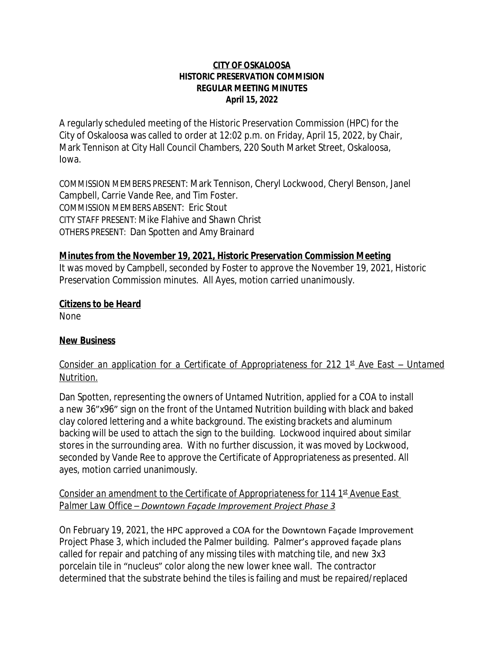#### **CITY OF OSKALOOSA HISTORIC PRESERVATION COMMISION REGULAR MEETING MINUTES April 15, 2022**

A regularly scheduled meeting of the Historic Preservation Commission (HPC) for the City of Oskaloosa was called to order at 12:02 p.m. on Friday, April 15, 2022, by Chair, Mark Tennison at City Hall Council Chambers, 220 South Market Street, Oskaloosa, Iowa.

COMMISSION MEMBERS PRESENT: Mark Tennison, Cheryl Lockwood, Cheryl Benson, Janel Campbell, Carrie Vande Ree, and Tim Foster. COMMISSION MEMBERS ABSENT: Eric Stout CITY STAFF PRESENT: Mike Flahive and Shawn Christ OTHERS PRESENT: Dan Spotten and Amy Brainard

## *Minutes from the November 19, 2021, Historic Preservation Commission Meeting*

It was moved by Campbell, seconded by Foster to approve the November 19, 2021, Historic Preservation Commission minutes. All Ayes, motion carried unanimously.

#### *Citizens to be Heard*

None

## *New Business*

# *Consider an application for a Certificate of Appropriateness for 212 1 st Ave East – Untamed Nutrition.*

Dan Spotten, representing the owners of Untamed Nutrition, applied for a COA to install a new 36"x96" sign on the front of the Untamed Nutrition building with black and baked clay colored lettering and a white background. The existing brackets and aluminum backing will be used to attach the sign to the building. Lockwood inquired about similar stores in the surrounding area. With no further discussion, it was moved by Lockwood, seconded by Vande Ree to approve the Certificate of Appropriateness as presented. All ayes, motion carried unanimously.

*Consider an amendment to the Certificate of Appropriateness for 114 1st Avenue East Palmer Law Office – Downtown Façade Improvement Project Phase 3*

On February 19, 2021, the HPC approved a COA for the Downtown Façade Improvement Project Phase 3, which included the Palmer building. Palmer's approved façade plans called for repair and patching of any missing tiles with matching tile, and new 3x3 porcelain tile in "nucleus" color along the new lower knee wall. The contractor determined that the substrate behind the tiles is failing and must be repaired/replaced